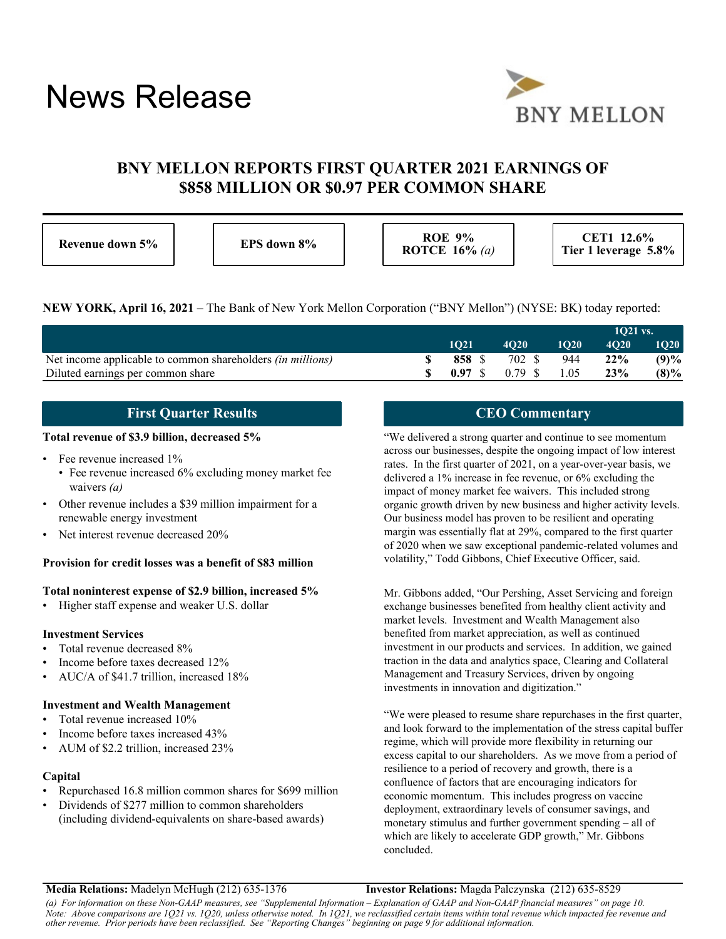# News Release



# **BNY MELLON REPORTS FIRST QUARTER 2021 EARNINGS OF \$858 MILLION OR \$0.97 PER COMMON SHARE**

| Revenue down 5% |  |  |
|-----------------|--|--|
|-----------------|--|--|

**ROE 9% ROE 9% ROTCE 16%** *(a)*

**CET1 12.6% Tier 1 leverage 5.8%**

**NEW YORK, April 16, 2021 –** The Bank of New York Mellon Corporation ("BNY Mellon") (NYSE: BK) today reported:

|                                                                   |        |             |             | $1021$ vs.  |         |
|-------------------------------------------------------------------|--------|-------------|-------------|-------------|---------|
|                                                                   | 1021   | <b>4020</b> | <b>1O20</b> | <b>4020</b> | 1020    |
| Net income applicable to common shareholders <i>(in millions)</i> | 858 S  | 702 \$      | 944         | 22%         | (9)%    |
| Diluted earnings per common share                                 | 0.97 S | 0.79 S      | 1.05        | 23%         | $(8)\%$ |

# **First Quarter Results**

### **Total revenue of \$3.9 billion, decreased 5%**

- Fee revenue increased 1%
	- Fee revenue increased 6% excluding money market fee waivers *(a)*
- Other revenue includes a \$39 million impairment for a renewable energy investment
- Net interest revenue decreased 20%

#### **Provision for credit losses was a benefit of \$83 million**

#### **Total noninterest expense of \$2.9 billion, increased 5%**

• Higher staff expense and weaker U.S. dollar

#### **Investment Services**

- Total revenue decreased 8%
- Income before taxes decreased 12%
- AUC/A of \$41.7 trillion, increased 18%

# **Investment and Wealth Management**

- Total revenue increased 10%
- Income before taxes increased 43%
- AUM of \$2.2 trillion, increased 23%

#### **Capital**

- Repurchased 16.8 million common shares for \$699 million
- Dividends of \$277 million to common shareholders (including dividend-equivalents on share-based awards)

# **CEO Commentary**

"We delivered a strong quarter and continue to see momentum across our businesses, despite the ongoing impact of low interest rates. In the first quarter of 2021, on a year-over-year basis, we delivered a 1% increase in fee revenue, or 6% excluding the impact of money market fee waivers. This included strong organic growth driven by new business and higher activity levels. Our business model has proven to be resilient and operating margin was essentially flat at 29%, compared to the first quarter of 2020 when we saw exceptional pandemic-related volumes and volatility," Todd Gibbons, Chief Executive Officer, said.

Mr. Gibbons added, "Our Pershing, Asset Servicing and foreign exchange businesses benefited from healthy client activity and market levels. Investment and Wealth Management also benefited from market appreciation, as well as continued investment in our products and services. In addition, we gained traction in the data and analytics space, Clearing and Collateral Management and Treasury Services, driven by ongoing investments in innovation and digitization."

"We were pleased to resume share repurchases in the first quarter, and look forward to the implementation of the stress capital buffer regime, which will provide more flexibility in returning our excess capital to our shareholders. As we move from a period of resilience to a period of recovery and growth, there is a confluence of factors that are encouraging indicators for economic momentum. This includes progress on vaccine deployment, extraordinary levels of consumer savings, and monetary stimulus and further government spending – all of which are likely to accelerate GDP growth," Mr. Gibbons concluded.

**Media Relations:** Madelyn McHugh (212) 635-1376 **Investor Relations:** Magda Palczynska (212) 635-8529

*(a) For information on these Non-GAAP measures, see "Supplemental Information – Explanation of GAAP and Non-GAAP financial measures" on page 10. Note: Above comparisons are 1Q21 vs. 1Q20, unless otherwise noted. In 1Q21, we reclassified certain items within total revenue which impacted fee revenue and other revenue. Prior periods have been reclassified. See "Reporting Changes" beginning on page 9 for additional information.*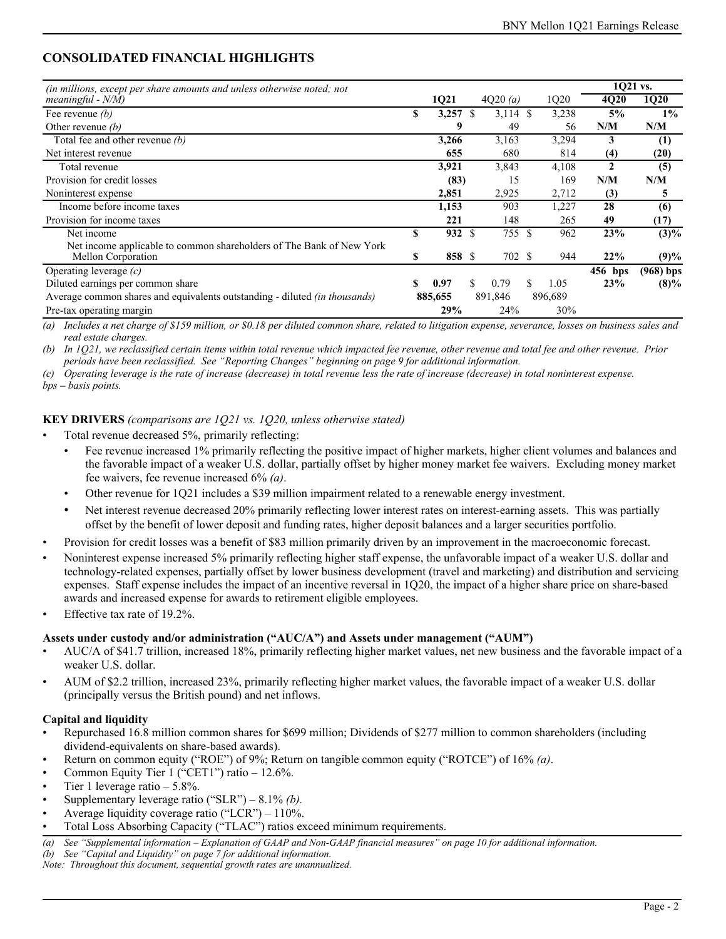# **CONSOLIDATED FINANCIAL HIGHLIGHTS**

| <i>(in millions, except per share amounts and unless otherwise noted; not</i>              |    |            |    |            |     |         | 1Q21 vs. |                  |
|--------------------------------------------------------------------------------------------|----|------------|----|------------|-----|---------|----------|------------------|
| meaningful - $N/M$ )                                                                       |    | 1Q21       |    | 4Q20(a)    |     | 1Q20    | 4Q20     | 1Q20             |
| Fee revenue $(b)$                                                                          | S  | $3,257$ \$ |    | $3,114$ \$ |     | 3,238   | 5%       | $1\%$            |
| Other revenue $(b)$                                                                        |    | 9          |    | 49         |     | 56      | N/M      | N/M              |
| Total fee and other revenue $(b)$                                                          |    | 3,266      |    | 3,163      |     | 3,294   | 3        | $\left(1\right)$ |
| Net interest revenue                                                                       |    | 655        |    | 680        |     | 814     | (4)      | (20)             |
| Total revenue                                                                              |    | 3,921      |    | 3,843      |     | 4,108   | 2        | (5)              |
| Provision for credit losses                                                                |    | (83)       |    | 15         |     | 169     | N/M      | N/M              |
| Noninterest expense                                                                        |    | 2,851      |    | 2,925      |     | 2,712   | (3)      | 5                |
| Income before income taxes                                                                 |    | 1,153      |    | 903        |     | 1,227   | 28       | (6)              |
| Provision for income taxes                                                                 |    | 221        |    | 148        |     | 265     | 49       | (17)             |
| Net income                                                                                 | S  | 932        | \$ | 755 \$     |     | 962     | 23%      | $(3)\%$          |
| Net income applicable to common shareholders of The Bank of New York<br>Mellon Corporation | S  | 858 \$     |    | 702 \$     |     | 944     | 22%      | (9)%             |
| Operating leverage $(c)$                                                                   |    |            |    |            |     |         | 456 bps  | $(968)$ bps      |
| Diluted earnings per common share                                                          | \$ | 0.97       | S. | 0.79       | \$. | 1.05    | 23%      | $(8)\%$          |
| Average common shares and equivalents outstanding - diluted <i>(in thousands)</i>          |    | 885,655    |    | 891,846    |     | 896,689 |          |                  |
| Pre-tax operating margin                                                                   |    | 29%        |    | 24%        |     | 30%     |          |                  |

*(a) Includes a net charge of \$159 million, or \$0.18 per diluted common share, related to litigation expense, severance, losses on business sales and real estate charges.* 

*(b) In 1Q21, we reclassified certain items within total revenue which impacted fee revenue, other revenue and total fee and other revenue. Prior periods have been reclassified. See "Reporting Changes" beginning on page 9 for additional information.*

*(c) Operating leverage is the rate of increase (decrease) in total revenue less the rate of increase (decrease) in total noninterest expense.*

*bps – basis points.*

### **KEY DRIVERS** *(comparisons are 1Q21 vs. 1Q20, unless otherwise stated)*

- Total revenue decreased 5%, primarily reflecting:
	- Fee revenue increased 1% primarily reflecting the positive impact of higher markets, higher client volumes and balances and the favorable impact of a weaker U.S. dollar, partially offset by higher money market fee waivers. Excluding money market fee waivers, fee revenue increased 6% *(a)*.
	- Other revenue for 1Q21 includes a \$39 million impairment related to a renewable energy investment.
	- Net interest revenue decreased 20% primarily reflecting lower interest rates on interest-earning assets. This was partially offset by the benefit of lower deposit and funding rates, higher deposit balances and a larger securities portfolio.
- Provision for credit losses was a benefit of \$83 million primarily driven by an improvement in the macroeconomic forecast.
- Noninterest expense increased 5% primarily reflecting higher staff expense, the unfavorable impact of a weaker U.S. dollar and technology-related expenses, partially offset by lower business development (travel and marketing) and distribution and servicing expenses. Staff expense includes the impact of an incentive reversal in 1Q20, the impact of a higher share price on share-based awards and increased expense for awards to retirement eligible employees.
- Effective tax rate of 19.2%.

#### **Assets under custody and/or administration ("AUC/A") and Assets under management ("AUM")**

- AUC/A of \$41.7 trillion, increased 18%, primarily reflecting higher market values, net new business and the favorable impact of a weaker U.S. dollar.
- AUM of \$2.2 trillion, increased 23%, primarily reflecting higher market values, the favorable impact of a weaker U.S. dollar (principally versus the British pound) and net inflows.

### **Capital and liquidity**

- Repurchased 16.8 million common shares for \$699 million; Dividends of \$277 million to common shareholders (including dividend-equivalents on share-based awards).
- Return on common equity ("ROE") of 9%; Return on tangible common equity ("ROTCE") of 16% *(a)*.
- Common Equity Tier 1 ("CET1") ratio 12.6%.
- Tier 1 leverage ratio  $-5.8\%$ .
- Supplementary leverage ratio ("SLR") 8.1% *(b).*
- Average liquidity coverage ratio ("LCR")  $110\%$ .
- Total Loss Absorbing Capacity ("TLAC") ratios exceed minimum requirements.
- *(a) See "Supplemental information Explanation of GAAP and Non-GAAP financial measures" on page 10 for additional information.*

*(b) See "Capital and Liquidity" on page 7 for additional information.*

*Note: Throughout this document, sequential growth rates are unannualized.*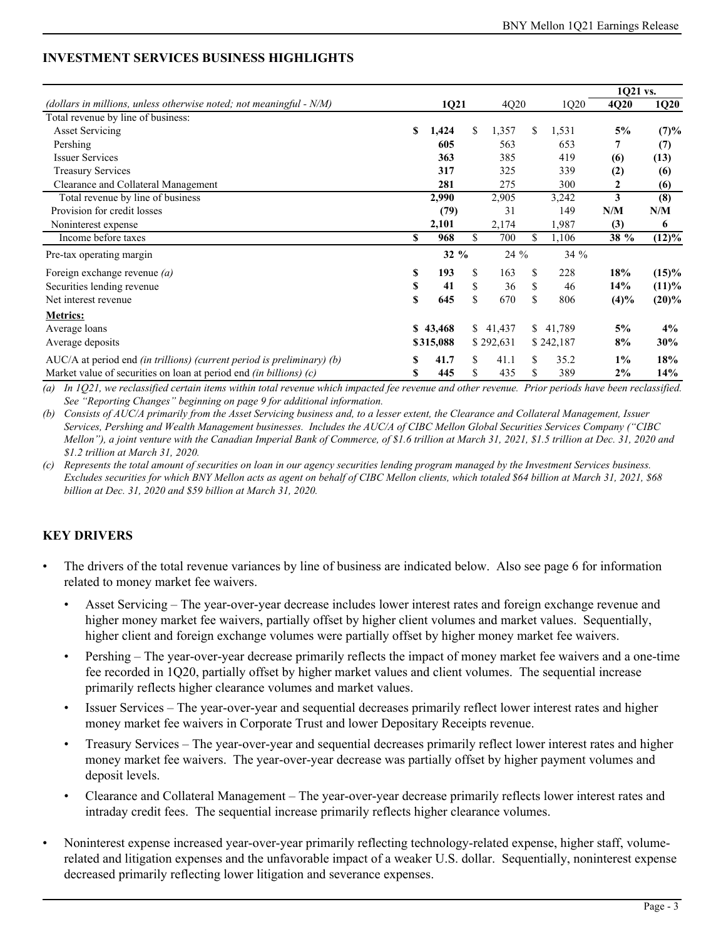# **INVESTMENT SERVICES BUSINESS HIGHLIGHTS**

|                                                                        |    |           |     |           |     |           | 1Q21 vs. |                     |
|------------------------------------------------------------------------|----|-----------|-----|-----------|-----|-----------|----------|---------------------|
| (dollars in millions, unless otherwise noted; not meaningful - N/M)    |    | 1Q21      |     | 4Q20      |     | 1Q20      | 4Q20     | 1Q20                |
| Total revenue by line of business:                                     |    |           |     |           |     |           |          |                     |
| <b>Asset Servicing</b>                                                 | S  | 1,424     | \$. | 1,357     | \$  | 1,531     | 5%       | (7)%                |
| Pershing                                                               |    | 605       |     | 563       |     | 653       | 7        | (7)                 |
| <b>Issuer Services</b>                                                 |    | 363       |     | 385       |     | 419       | (6)      | (13)                |
| <b>Treasury Services</b>                                               |    | 317       |     | 325       |     | 339       | (2)      | (6)                 |
| Clearance and Collateral Management                                    |    | 281       |     | 275       |     | 300       | 2        | (6)                 |
| Total revenue by line of business                                      |    | 2,990     |     | 2,905     |     | 3,242     | 3        | (8)                 |
| Provision for credit losses                                            |    | (79)      |     | 31        |     | 149       | N/M      | N/M                 |
| Noninterest expense                                                    |    | 2,101     |     | 2,174     |     | 1,987     | (3)      | 6                   |
| Income before taxes                                                    | S  | 968       | \$. | 700       | \$  | 1,106     | 38 %     | $\overline{(12)\%}$ |
| Pre-tax operating margin                                               |    | $32 \%$   |     | 24 %      |     | $34\%$    |          |                     |
| Foreign exchange revenue $(a)$                                         | \$ | 193       | \$  | 163       | \$  | 228       | 18%      | $(15)\%$            |
| Securities lending revenue                                             | \$ | 41        | \$  | 36        | \$  | 46        | 14%      | $(11)\%$            |
| Net interest revenue                                                   | S  | 645       | \$  | 670       | \$  | 806       | (4)%     | $(20)\%$            |
| <b>Metrics:</b>                                                        |    |           |     |           |     |           |          |                     |
| Average loans                                                          |    | \$43,468  |     | \$41,437  | \$  | 41,789    | 5%       | 4%                  |
| Average deposits                                                       |    | \$315,088 |     | \$292,631 |     | \$242,187 | 8%       | 30%                 |
| AUC/A at period end (in trillions) (current period is preliminary) (b) | S  | 41.7      | S.  | 41.1      | \$. | 35.2      | $1\%$    | 18%                 |
| Market value of securities on loan at period end (in billions) $(c)$   | \$ | 445       | \$  | 435       | \$  | 389       | 2%       | 14%                 |

*(a) In 1Q21, we reclassified certain items within total revenue which impacted fee revenue and other revenue. Prior periods have been reclassified. See "Reporting Changes" beginning on page 9 for additional information.*

*(b) Consists of AUC/A primarily from the Asset Servicing business and, to a lesser extent, the Clearance and Collateral Management, Issuer Services, Pershing and Wealth Management businesses. Includes the AUC/A of CIBC Mellon Global Securities Services Company ("CIBC Mellon"), a joint venture with the Canadian Imperial Bank of Commerce, of \$1.6 trillion at March 31, 2021, \$1.5 trillion at Dec. 31, 2020 and \$1.2 trillion at March 31, 2020.*

*(c) Represents the total amount of securities on loan in our agency securities lending program managed by the Investment Services business.*  Excludes securities for which BNY Mellon acts as agent on behalf of CIBC Mellon clients, which totaled \$64 billion at March 31, 2021, \$68 *billion at Dec. 31, 2020 and \$59 billion at March 31, 2020.*

# **KEY DRIVERS**

- The drivers of the total revenue variances by line of business are indicated below. Also see page 6 for information related to money market fee waivers.
	- Asset Servicing The year-over-year decrease includes lower interest rates and foreign exchange revenue and higher money market fee waivers, partially offset by higher client volumes and market values. Sequentially, higher client and foreign exchange volumes were partially offset by higher money market fee waivers.
	- Pershing The year-over-year decrease primarily reflects the impact of money market fee waivers and a one-time fee recorded in 1Q20, partially offset by higher market values and client volumes. The sequential increase primarily reflects higher clearance volumes and market values.
	- Issuer Services The year-over-year and sequential decreases primarily reflect lower interest rates and higher money market fee waivers in Corporate Trust and lower Depositary Receipts revenue.
	- Treasury Services The year-over-year and sequential decreases primarily reflect lower interest rates and higher money market fee waivers. The year-over-year decrease was partially offset by higher payment volumes and deposit levels.
	- Clearance and Collateral Management The year-over-year decrease primarily reflects lower interest rates and intraday credit fees. The sequential increase primarily reflects higher clearance volumes.
- Noninterest expense increased year-over-year primarily reflecting technology-related expense, higher staff, volumerelated and litigation expenses and the unfavorable impact of a weaker U.S. dollar. Sequentially, noninterest expense decreased primarily reflecting lower litigation and severance expenses.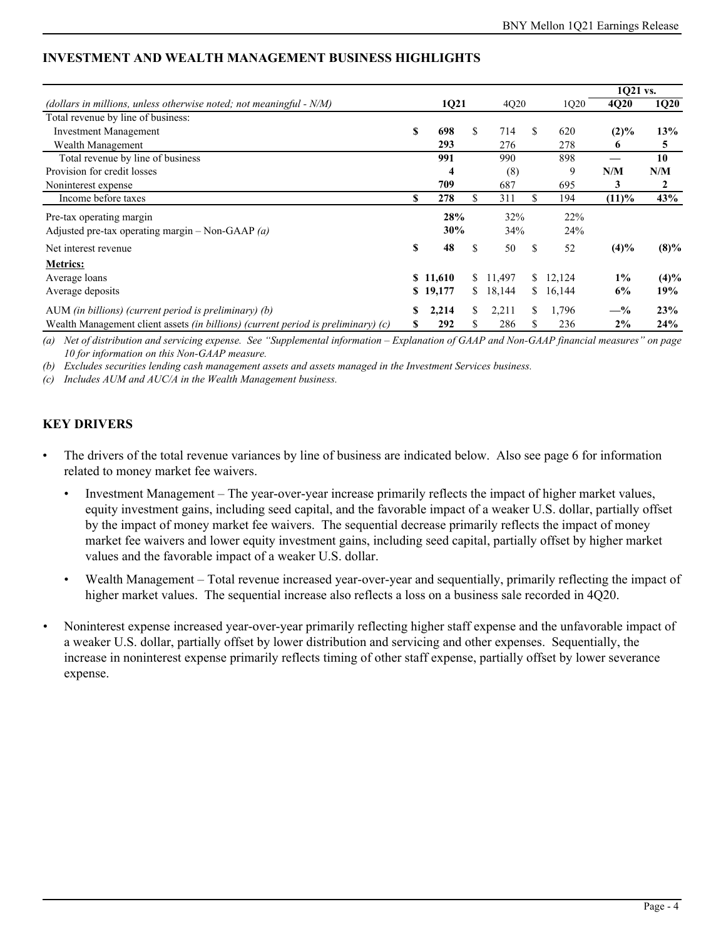|                                                                                          |    |          |    |          |     |        | 1Q21 vs. |              |
|------------------------------------------------------------------------------------------|----|----------|----|----------|-----|--------|----------|--------------|
| (dollars in millions, unless otherwise noted; not meaningful - $N/M$ )                   |    | 1Q21     |    | 4Q20     |     | 1Q20   | 4Q20     | <b>1Q20</b>  |
| Total revenue by line of business:                                                       |    |          |    |          |     |        |          |              |
| <b>Investment Management</b>                                                             | S  | 698      | \$ | 714      | \$. | 620    | $(2)\%$  | 13%          |
| Wealth Management                                                                        |    | 293      |    | 276      |     | 278    | 6        | 5            |
| Total revenue by line of business                                                        |    | 991      |    | 990      |     | 898    |          | 10           |
| Provision for credit losses                                                              |    | 4        |    | (8)      |     | 9      | N/M      | N/M          |
| Noninterest expense                                                                      |    | 709      |    | 687      |     | 695    | 3        | $\mathbf{2}$ |
| Income before taxes                                                                      | \$ | 278      | \$ | 311      | \$  | 194    | $(11)\%$ | 43%          |
| Pre-tax operating margin                                                                 |    | 28%      |    | 32%      |     | 22%    |          |              |
| Adjusted pre-tax operating margin - Non-GAAP $(a)$                                       |    | 30%      |    | 34%      |     | 24%    |          |              |
| Net interest revenue                                                                     | \$ | 48       | \$ | 50       | \$. | 52     | (4)%     | $(8)\%$      |
| <b>Metrics:</b>                                                                          |    |          |    |          |     |        |          |              |
| Average loans                                                                            |    | \$11,610 |    | \$11.497 | S.  | 12,124 | $1\%$    | (4)%         |
| Average deposits                                                                         | S  | 19,177   | S. | 18,144   | \$. | 16,144 | 6%       | 19%          |
| AUM (in billions) (current period is preliminary) $(b)$                                  | S  | 2,214    | \$ | 2,211    | \$  | 1,796  | $-$ %    | 23%          |
| Wealth Management client assets <i>(in billions) (current period is preliminary) (c)</i> | ъ  | 292      | S  | 286      | У   | 236    | $2\%$    | 24%          |

# **INVESTMENT AND WEALTH MANAGEMENT BUSINESS HIGHLIGHTS**

*(a) Net of distribution and servicing expense. See "Supplemental information – Explanation of GAAP and Non-GAAP financial measures" on page 10 for information on this Non-GAAP measure.* 

*(b) Excludes securities lending cash management assets and assets managed in the Investment Services business.*

*(c) Includes AUM and AUC/A in the Wealth Management business.* 

# **KEY DRIVERS**

- The drivers of the total revenue variances by line of business are indicated below. Also see page 6 for information related to money market fee waivers.
	- Investment Management The year-over-year increase primarily reflects the impact of higher market values, equity investment gains, including seed capital, and the favorable impact of a weaker U.S. dollar, partially offset by the impact of money market fee waivers. The sequential decrease primarily reflects the impact of money market fee waivers and lower equity investment gains, including seed capital, partially offset by higher market values and the favorable impact of a weaker U.S. dollar.
	- Wealth Management Total revenue increased year-over-year and sequentially, primarily reflecting the impact of higher market values. The sequential increase also reflects a loss on a business sale recorded in 4Q20.
- *•* Noninterest expense increased year-over-year primarily reflecting higher staff expense and the unfavorable impact of a weaker U.S. dollar, partially offset by lower distribution and servicing and other expenses. Sequentially, the increase in noninterest expense primarily reflects timing of other staff expense, partially offset by lower severance expense.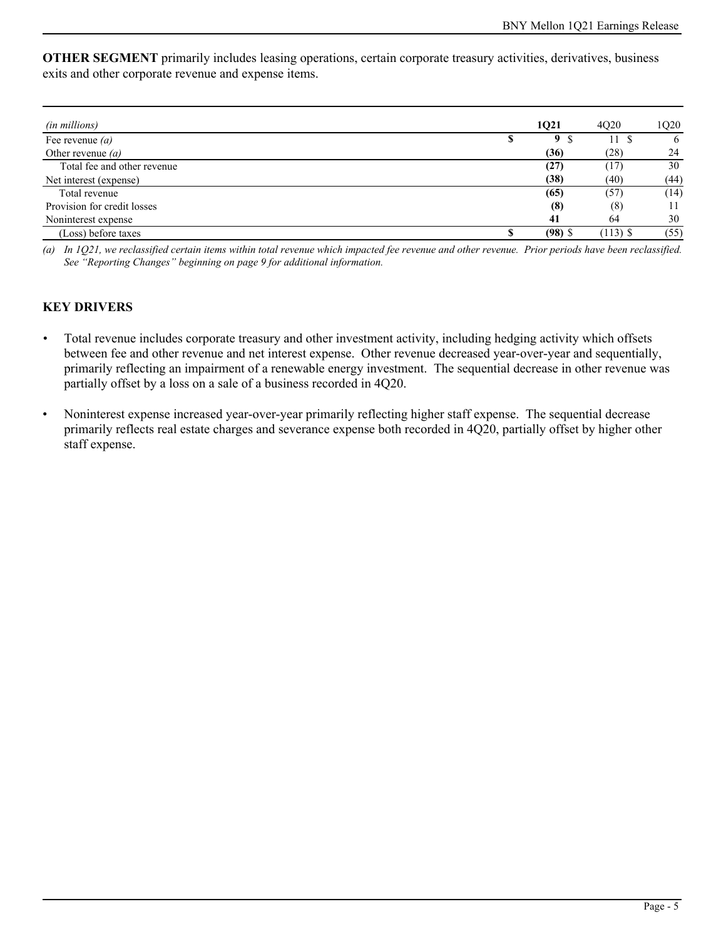**OTHER SEGMENT** primarily includes leasing operations, certain corporate treasury activities, derivatives, business exits and other corporate revenue and expense items.

| (in millions)               |    | 1Q21      | 4020       | 1Q20 |
|-----------------------------|----|-----------|------------|------|
| Fee revenue $(a)$           | ٨D | 9         | 11 S       | 6    |
| Other revenue $(a)$         |    | (36)      | (28)       | 24   |
| Total fee and other revenue |    | (27)      | (17)       | 30   |
| Net interest (expense)      |    | (38)      | (40)       | (44) |
| Total revenue               |    | (65)      | (57)       | (14) |
| Provision for credit losses |    | (8)       | (8)        | 11   |
| Noninterest expense         |    | 41        | 64         | 30   |
| (Loss) before taxes         |    | $(98)$ \$ | $(113)$ \$ | (55) |

*(a) In 1Q21, we reclassified certain items within total revenue which impacted fee revenue and other revenue. Prior periods have been reclassified. See "Reporting Changes" beginning on page 9 for additional information.*

# **KEY DRIVERS**

- *•* Total revenue includes corporate treasury and other investment activity, including hedging activity which offsets between fee and other revenue and net interest expense. Other revenue decreased year-over-year and sequentially, primarily reflecting an impairment of a renewable energy investment. The sequential decrease in other revenue was partially offset by a loss on a sale of a business recorded in 4Q20.
- Noninterest expense increased year-over-year primarily reflecting higher staff expense. The sequential decrease primarily reflects real estate charges and severance expense both recorded in 4Q20, partially offset by higher other staff expense.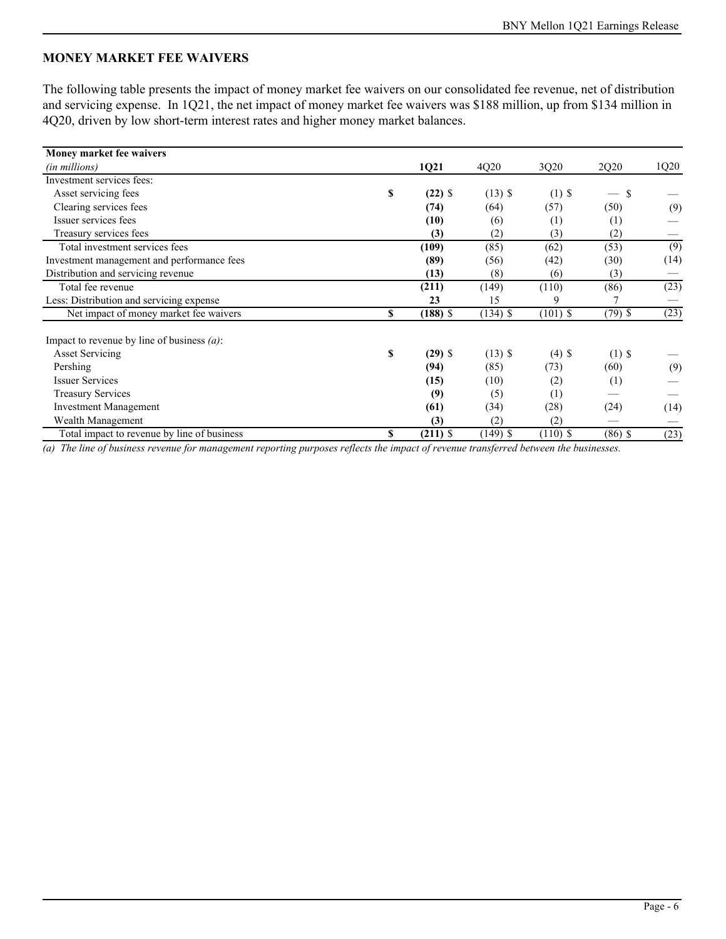# **MONEY MARKET FEE WAIVERS**

The following table presents the impact of money market fee waivers on our consolidated fee revenue, net of distribution and servicing expense. In 1Q21, the net impact of money market fee waivers was \$188 million, up from \$134 million in 4Q20, driven by low short-term interest rates and higher money market balances.

| Money market fee waivers                      |    |            |            |            |           |                  |
|-----------------------------------------------|----|------------|------------|------------|-----------|------------------|
| (in millions)                                 |    | 1Q21       | 4Q20       | 3Q20       | 2Q20      | 1Q20             |
| Investment services fees:                     |    |            |            |            |           |                  |
| Asset servicing fees                          | S  | $(22)$ \$  | $(13)$ \$  | $(1)$ \$   | S         |                  |
| Clearing services fees                        |    | (74)       | (64)       | (57)       | (50)      | (9)              |
| Issuer services fees                          |    | (10)       | (6)        | (1)        | (1)       |                  |
| Treasury services fees                        |    | (3)        | (2)        | (3)        | (2)       |                  |
| Total investment services fees                |    | (109)      | (85)       | (62)       | (53)      | $\overline{(9)}$ |
| Investment management and performance fees    |    | (89)       | (56)       | (42)       | (30)      | (14)             |
| Distribution and servicing revenue            |    | (13)       | (8)        | (6)        | (3)       |                  |
| Total fee revenue                             |    | (211)      | (149)      | (110)      | (86)      | (23)             |
| Less: Distribution and servicing expense      |    | 23         | 15         | 9          |           |                  |
| Net impact of money market fee waivers        | \$ | $(188)$ \$ | $(134)$ \$ | $(101)$ \$ | $(79)$ \$ | (23)             |
| Impact to revenue by line of business $(a)$ : |    |            |            |            |           |                  |
| <b>Asset Servicing</b>                        | \$ | $(29)$ \$  | $(13)$ \$  | $(4)$ \$   | $(1)$ \$  |                  |
| Pershing                                      |    | (94)       | (85)       | (73)       | (60)      | (9)              |
| <b>Issuer Services</b>                        |    | (15)       | (10)       | (2)        | (1)       |                  |
| <b>Treasury Services</b>                      |    | (9)        | (5)        | (1)        |           |                  |
| <b>Investment Management</b>                  |    | (61)       | (34)       | (28)       | (24)      | (14)             |
| Wealth Management                             |    | (3)        | (2)        | (2)        |           |                  |
| Total impact to revenue by line of business   | \$ | $(211)$ \$ | $(149)$ \$ | $(110)$ \$ | $(86)$ \$ | (23)             |

*(a) The line of business revenue for management reporting purposes reflects the impact of revenue transferred between the businesses.*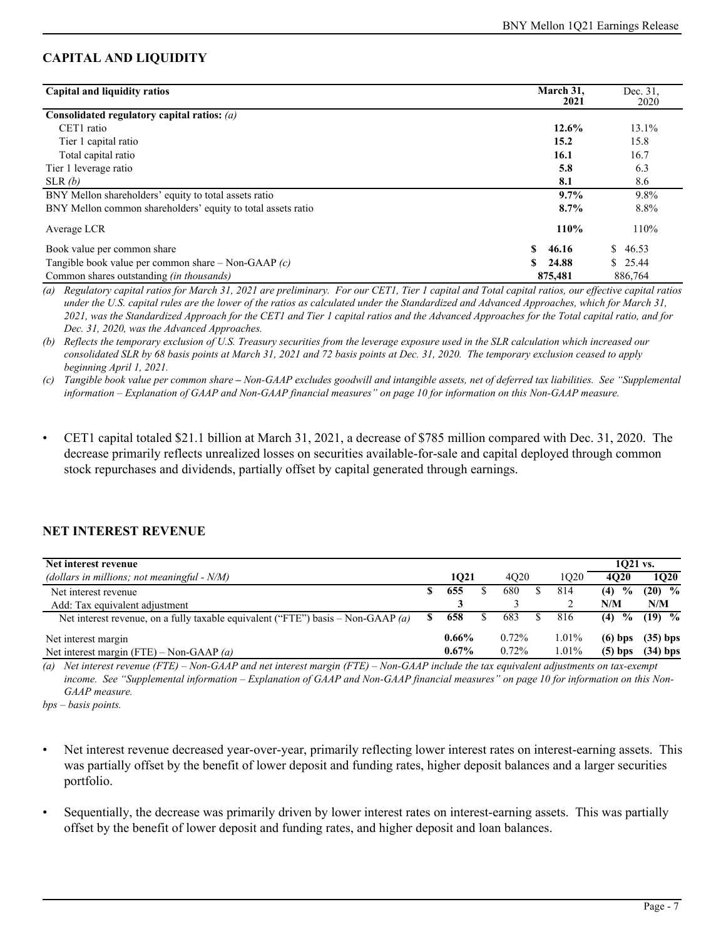# **CAPITAL AND LIQUIDITY**

| Capital and liquidity ratios                                 | March 31,<br>2021 | Dec. 31.<br>2020 |
|--------------------------------------------------------------|-------------------|------------------|
| Consolidated regulatory capital ratios: $(a)$                |                   |                  |
| CET1 ratio                                                   | 12.6%             | 13.1%            |
| Tier 1 capital ratio                                         | 15.2              | 15.8             |
| Total capital ratio                                          | 16.1              | 16.7             |
| Tier 1 leverage ratio                                        | 5.8               | 6.3              |
| SLR(b)                                                       | 8.1               | 8.6              |
| BNY Mellon shareholders' equity to total assets ratio        | 9.7%              | 9.8%             |
| BNY Mellon common shareholders' equity to total assets ratio | 8.7%              | 8.8%             |
| Average LCR                                                  | 110%              | 110%             |
| Book value per common share                                  | 46.16             | 46.53<br>S.      |
| Tangible book value per common share – Non-GAAP $(c)$        | 24.88             | \$25.44          |
| Common shares outstanding <i>(in thousands)</i>              | 875,481           | 886,764          |

*(a) Regulatory capital ratios for March 31, 2021 are preliminary. For our CET1, Tier 1 capital and Total capital ratios, our effective capital ratios under the U.S. capital rules are the lower of the ratios as calculated under the Standardized and Advanced Approaches, which for March 31, 2021, was the Standardized Approach for the CET1 and Tier 1 capital ratios and the Advanced Approaches for the Total capital ratio, and for Dec. 31, 2020, was the Advanced Approaches.*

*(b) Reflects the temporary exclusion of U.S. Treasury securities from the leverage exposure used in the SLR calculation which increased our consolidated SLR by 68 basis points at March 31, 2021 and 72 basis points at Dec. 31, 2020. The temporary exclusion ceased to apply beginning April 1, 2021.* 

*(c) Tangible book value per common share – Non-GAAP excludes goodwill and intangible assets, net of deferred tax liabilities. See "Supplemental information – Explanation of GAAP and Non-GAAP financial measures" on page 10 for information on this Non-GAAP measure.*

• CET1 capital totaled \$21.1 billion at March 31, 2021, a decrease of \$785 million compared with Dec. 31, 2020. The decrease primarily reflects unrealized losses on securities available-for-sale and capital deployed through common stock repurchases and dividends, partially offset by capital generated through earnings.

# **NET INTEREST REVENUE**

| Net interest revenue                                                             |   |          |          |          | 1021 vs.              |             |
|----------------------------------------------------------------------------------|---|----------|----------|----------|-----------------------|-------------|
| (dollars in millions; not meaningful - $N/M$ )                                   |   | 1021     | 4020     | 1020     | 4020                  | <b>1O20</b> |
| Net interest revenue                                                             |   | 655      | 680      | 814      | $\frac{6}{10}$<br>(4) | $(20)$ %    |
| Add: Tax equivalent adjustment                                                   |   |          |          |          | N/M                   | N/M         |
| Net interest revenue, on a fully taxable equivalent ("FTE") basis – Non-GAAP (a) | S | 658      | 683      | 816      | $\frac{6}{10}$<br>(4) | $(19)$ %    |
| Net interest margin                                                              |   | $0.66\%$ | $0.72\%$ | $1.01\%$ | $(6)$ bps             | $(35)$ bps  |
| Net interest margin (FTE) – Non-GAAP (a)                                         |   | $0.67\%$ | $0.72\%$ | 1.01%    | $(5)$ bps             | $(34)$ bps  |

*(a) Net interest revenue (FTE) – Non-GAAP and net interest margin (FTE) – Non-GAAP include the tax equivalent adjustments on tax-exempt income. See "Supplemental information – Explanation of GAAP and Non-GAAP financial measures" on page 10 for information on this Non-GAAP measure.* 

*bps – basis points.*

- Net interest revenue decreased year-over-year, primarily reflecting lower interest rates on interest-earning assets. This was partially offset by the benefit of lower deposit and funding rates, higher deposit balances and a larger securities portfolio.
- Sequentially, the decrease was primarily driven by lower interest rates on interest-earning assets. This was partially offset by the benefit of lower deposit and funding rates, and higher deposit and loan balances.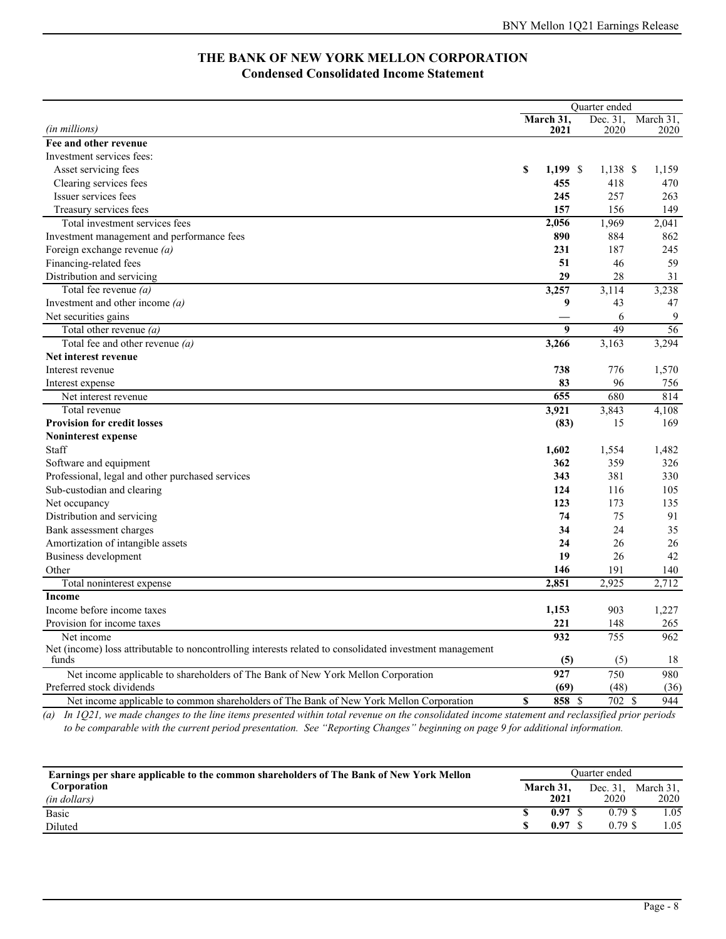# **THE BANK OF NEW YORK MELLON CORPORATION Condensed Consolidated Income Statement**

|                                                                                                          |                  | <b>Ouarter</b> ended |           |  |
|----------------------------------------------------------------------------------------------------------|------------------|----------------------|-----------|--|
|                                                                                                          | March 31,        | Dec. 31,             | March 31. |  |
| (in millions)                                                                                            | 2021             | 2020                 | 2020      |  |
| Fee and other revenue                                                                                    |                  |                      |           |  |
| Investment services fees:                                                                                |                  |                      |           |  |
| Asset servicing fees                                                                                     | \$<br>$1,199$ \$ | $1,138$ \$           | 1,159     |  |
| Clearing services fees                                                                                   | 455              | 418                  | 470       |  |
| Issuer services fees                                                                                     | 245              | 257                  | 263       |  |
| Treasury services fees                                                                                   | 157              | 156                  | 149       |  |
| Total investment services fees                                                                           | 2,056            | 1,969                | 2,041     |  |
| Investment management and performance fees                                                               | 890              | 884                  | 862       |  |
| Foreign exchange revenue (a)                                                                             | 231              | 187                  | 245       |  |
| Financing-related fees                                                                                   | 51               | 46                   | 59        |  |
| Distribution and servicing                                                                               | 29               | 28                   | 31        |  |
| Total fee revenue $(a)$                                                                                  | 3,257            | 3,114                | 3,238     |  |
| Investment and other income $(a)$                                                                        | 9                | 43                   | 47        |  |
| Net securities gains                                                                                     |                  | 6                    | 9         |  |
| Total other revenue (a)                                                                                  | 9                | 49                   | 56        |  |
| Total fee and other revenue $(a)$                                                                        | 3,266            | 3,163                | 3,294     |  |
| Net interest revenue                                                                                     |                  |                      |           |  |
| Interest revenue                                                                                         | 738              | 776                  | 1,570     |  |
| Interest expense                                                                                         | 83               | 96                   | 756       |  |
| Net interest revenue                                                                                     | 655              | 680                  | 814       |  |
| Total revenue                                                                                            | 3,921            | 3,843                | 4,108     |  |
| <b>Provision for credit losses</b>                                                                       | (83)             | 15                   | 169       |  |
| Noninterest expense                                                                                      |                  |                      |           |  |
| Staff                                                                                                    | 1,602            | 1,554                | 1,482     |  |
| Software and equipment                                                                                   | 362              | 359                  | 326       |  |
| Professional, legal and other purchased services                                                         | 343              | 381                  | 330       |  |
| Sub-custodian and clearing                                                                               | 124              | 116                  | 105       |  |
| Net occupancy                                                                                            | 123              | 173                  | 135       |  |
| Distribution and servicing                                                                               | 74               | 75                   | 91        |  |
| Bank assessment charges                                                                                  | 34               | 24                   | 35        |  |
| Amortization of intangible assets                                                                        | 24               | 26                   | 26        |  |
| Business development                                                                                     | 19               | 26                   | 42        |  |
| Other                                                                                                    | 146              | 191                  | 140       |  |
| Total noninterest expense                                                                                | 2,851            | 2,925                | 2,712     |  |
| Income                                                                                                   |                  |                      |           |  |
| Income before income taxes                                                                               | 1,153            | 903                  | 1,227     |  |
| Provision for income taxes                                                                               | 221              | 148                  | 265       |  |
| Net income                                                                                               | 932              | 755                  | 962       |  |
| Net (income) loss attributable to noncontrolling interests related to consolidated investment management |                  |                      |           |  |
| funds                                                                                                    | (5)              | (5)                  | 18        |  |
| Net income applicable to shareholders of The Bank of New York Mellon Corporation                         | 927              | 750                  | 980       |  |
| Preferred stock dividends                                                                                | (69)             | (48)                 | (36)      |  |
| Net income applicable to common shareholders of The Bank of New York Mellon Corporation                  | \$<br>858 \$     | 702 \$               | 944       |  |

*(a) In 1Q21, we made changes to the line items presented within total revenue on the consolidated income statement and reclassified prior periods to be comparable with the current period presentation. See "Reporting Changes" beginning on page 9 for additional information.*

| Earnings per share applicable to the common shareholders of The Bank of New York Mellon | Ouarter ended |           |  |           |           |  |  |
|-----------------------------------------------------------------------------------------|---------------|-----------|--|-----------|-----------|--|--|
| Corporation                                                                             |               | March 31, |  | Dec. 31,  | March 31, |  |  |
| (in dollars)                                                                            |               | 2021      |  | 2020      | 2020      |  |  |
| Basic                                                                                   |               | 0.97      |  | $0.79$ \$ | l.05      |  |  |
| Diluted                                                                                 |               | 0.97      |  | $0.79$ \$ | 1.05      |  |  |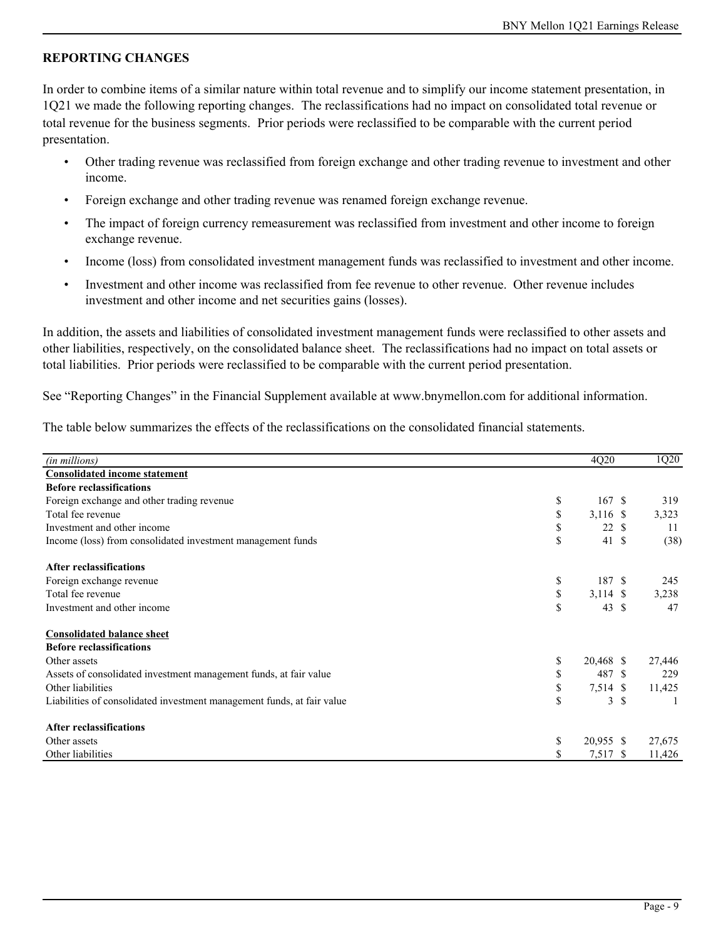# **REPORTING CHANGES**

In order to combine items of a similar nature within total revenue and to simplify our income statement presentation, in 1Q21 we made the following reporting changes. The reclassifications had no impact on consolidated total revenue or total revenue for the business segments. Prior periods were reclassified to be comparable with the current period presentation.

- Other trading revenue was reclassified from foreign exchange and other trading revenue to investment and other income.
- Foreign exchange and other trading revenue was renamed foreign exchange revenue.
- The impact of foreign currency remeasurement was reclassified from investment and other income to foreign exchange revenue.
- Income (loss) from consolidated investment management funds was reclassified to investment and other income.
- Investment and other income was reclassified from fee revenue to other revenue. Other revenue includes investment and other income and net securities gains (losses).

In addition, the assets and liabilities of consolidated investment management funds were reclassified to other assets and other liabilities, respectively, on the consolidated balance sheet. The reclassifications had no impact on total assets or total liabilities. Prior periods were reclassified to be comparable with the current period presentation.

See "Reporting Changes" in the Financial Supplement available at www.bnymellon.com for additional information.

The table below summarizes the effects of the reclassifications on the consolidated financial statements.

| (in millions)                                                          | 4Q20             |            | 1Q20   |
|------------------------------------------------------------------------|------------------|------------|--------|
| <b>Consolidated income statement</b>                                   |                  |            |        |
| <b>Before reclassifications</b>                                        |                  |            |        |
| Foreign exchange and other trading revenue                             | \$<br>167S       |            | 319    |
| Total fee revenue                                                      | \$<br>3,116 \$   |            | 3,323  |
| Investment and other income                                            | \$               | 22S        | 11     |
| Income (loss) from consolidated investment management funds            | \$               | 41S        | (38)   |
| <b>After reclassifications</b>                                         |                  |            |        |
| Foreign exchange revenue                                               | \$<br>187 \$     |            | 245    |
| Total fee revenue                                                      | \$<br>$3,114$ \$ |            | 3,238  |
| Investment and other income                                            | \$               | $43 \quad$ | 47     |
| <b>Consolidated balance sheet</b>                                      |                  |            |        |
| <b>Before reclassifications</b>                                        |                  |            |        |
| Other assets                                                           | \$<br>20,468 \$  |            | 27,446 |
| Assets of consolidated investment management funds, at fair value      | 487 \$<br>\$     |            | 229    |
| Other liabilities                                                      | \$<br>7,514 \$   |            | 11,425 |
| Liabilities of consolidated investment management funds, at fair value | \$               | 3S         |        |
| <b>After reclassifications</b>                                         |                  |            |        |
| Other assets                                                           | \$<br>20,955 \$  |            | 27,675 |
| Other liabilities                                                      | 7,517 \$         |            | 11,426 |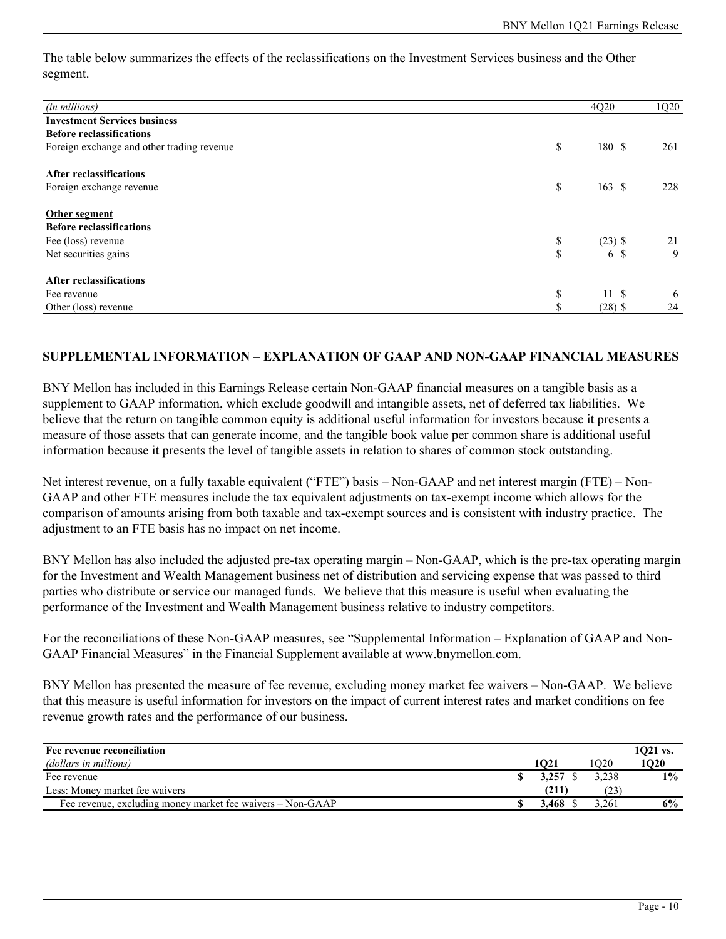The table below summarizes the effects of the reclassifications on the Investment Services business and the Other segment.

| (in millions)                              |     | 4Q20      | 1Q20 |
|--------------------------------------------|-----|-----------|------|
| <b>Investment Services business</b>        |     |           |      |
| <b>Before reclassifications</b>            |     |           |      |
| Foreign exchange and other trading revenue | \$  | 180 \$    | 261  |
| <b>After reclassifications</b>             |     |           |      |
| Foreign exchange revenue                   | \$  | 163S      | 228  |
| Other segment                              |     |           |      |
| <b>Before reclassifications</b>            |     |           |      |
| Fee (loss) revenue                         | \$  | $(23)$ \$ | 21   |
| Net securities gains                       | \$  | 6 \$      | 9    |
| <b>After reclassifications</b>             |     |           |      |
| Fee revenue                                | \$  | 11S       | 6    |
| Other (loss) revenue                       | аĐ. | $(28)$ \$ | 24   |

#### **SUPPLEMENTAL INFORMATION – EXPLANATION OF GAAP AND NON-GAAP FINANCIAL MEASURES**

BNY Mellon has included in this Earnings Release certain Non-GAAP financial measures on a tangible basis as a supplement to GAAP information, which exclude goodwill and intangible assets, net of deferred tax liabilities. We believe that the return on tangible common equity is additional useful information for investors because it presents a measure of those assets that can generate income, and the tangible book value per common share is additional useful information because it presents the level of tangible assets in relation to shares of common stock outstanding.

Net interest revenue, on a fully taxable equivalent ("FTE") basis – Non-GAAP and net interest margin (FTE) – Non-GAAP and other FTE measures include the tax equivalent adjustments on tax-exempt income which allows for the comparison of amounts arising from both taxable and tax-exempt sources and is consistent with industry practice. The adjustment to an FTE basis has no impact on net income.

BNY Mellon has also included the adjusted pre-tax operating margin – Non-GAAP, which is the pre-tax operating margin for the Investment and Wealth Management business net of distribution and servicing expense that was passed to third parties who distribute or service our managed funds. We believe that this measure is useful when evaluating the performance of the Investment and Wealth Management business relative to industry competitors.

For the reconciliations of these Non-GAAP measures, see "Supplemental Information – Explanation of GAAP and Non-GAAP Financial Measures" in the Financial Supplement available at www.bnymellon.com.

BNY Mellon has presented the measure of fee revenue, excluding money market fee waivers – Non-GAAP. We believe that this measure is useful information for investors on the impact of current interest rates and market conditions on fee revenue growth rates and the performance of our business.

| Fee revenue reconciliation                                 |       |       | $1021$ vs. |
|------------------------------------------------------------|-------|-------|------------|
| (dollars in millions)                                      | 1021  | O20   | 1020       |
| Fee revenue                                                | 3,257 | 3.238 | $1\%$      |
| Less: Money market fee waivers                             | (211) |       |            |
| Fee revenue, excluding money market fee waivers - Non-GAAP | 3.468 | 3.261 | 6%         |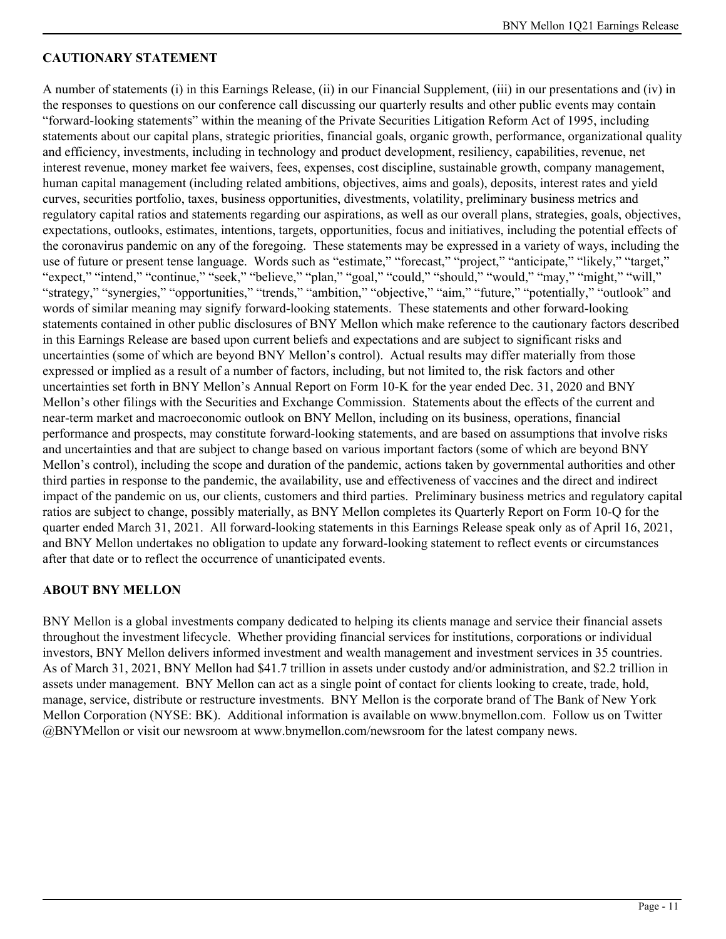# **CAUTIONARY STATEMENT**

A number of statements (i) in this Earnings Release, (ii) in our Financial Supplement, (iii) in our presentations and (iv) in the responses to questions on our conference call discussing our quarterly results and other public events may contain "forward-looking statements" within the meaning of the Private Securities Litigation Reform Act of 1995, including statements about our capital plans, strategic priorities, financial goals, organic growth, performance, organizational quality and efficiency, investments, including in technology and product development, resiliency, capabilities, revenue, net interest revenue, money market fee waivers, fees, expenses, cost discipline, sustainable growth, company management, human capital management (including related ambitions, objectives, aims and goals), deposits, interest rates and yield curves, securities portfolio, taxes, business opportunities, divestments, volatility, preliminary business metrics and regulatory capital ratios and statements regarding our aspirations, as well as our overall plans, strategies, goals, objectives, expectations, outlooks, estimates, intentions, targets, opportunities, focus and initiatives, including the potential effects of the coronavirus pandemic on any of the foregoing. These statements may be expressed in a variety of ways, including the use of future or present tense language. Words such as "estimate," "forecast," "project," "anticipate," "likely," "target," "expect," "intend," "continue," "seek," "believe," "plan," "goal," "could," "should," "would," "may," "might," "will," "strategy," "synergies," "opportunities," "trends," "ambition," "objective," "aim," "future," "potentially," "outlook" and words of similar meaning may signify forward-looking statements. These statements and other forward-looking statements contained in other public disclosures of BNY Mellon which make reference to the cautionary factors described in this Earnings Release are based upon current beliefs and expectations and are subject to significant risks and uncertainties (some of which are beyond BNY Mellon's control). Actual results may differ materially from those expressed or implied as a result of a number of factors, including, but not limited to, the risk factors and other uncertainties set forth in BNY Mellon's Annual Report on Form 10-K for the year ended Dec. 31, 2020 and BNY Mellon's other filings with the Securities and Exchange Commission. Statements about the effects of the current and near-term market and macroeconomic outlook on BNY Mellon, including on its business, operations, financial performance and prospects, may constitute forward-looking statements, and are based on assumptions that involve risks and uncertainties and that are subject to change based on various important factors (some of which are beyond BNY Mellon's control), including the scope and duration of the pandemic, actions taken by governmental authorities and other third parties in response to the pandemic, the availability, use and effectiveness of vaccines and the direct and indirect impact of the pandemic on us, our clients, customers and third parties. Preliminary business metrics and regulatory capital ratios are subject to change, possibly materially, as BNY Mellon completes its Quarterly Report on Form 10-Q for the quarter ended March 31, 2021. All forward-looking statements in this Earnings Release speak only as of April 16, 2021, and BNY Mellon undertakes no obligation to update any forward-looking statement to reflect events or circumstances after that date or to reflect the occurrence of unanticipated events.

### **ABOUT BNY MELLON**

BNY Mellon is a global investments company dedicated to helping its clients manage and service their financial assets throughout the investment lifecycle. Whether providing financial services for institutions, corporations or individual investors, BNY Mellon delivers informed investment and wealth management and investment services in 35 countries. As of March 31, 2021, BNY Mellon had \$41.7 trillion in assets under custody and/or administration, and \$2.2 trillion in assets under management. BNY Mellon can act as a single point of contact for clients looking to create, trade, hold, manage, service, distribute or restructure investments. BNY Mellon is the corporate brand of The Bank of New York Mellon Corporation (NYSE: BK). Additional information is available on www.bnymellon.com. Follow us on Twitter @BNYMellon or visit our newsroom at www.bnymellon.com/newsroom for the latest company news.